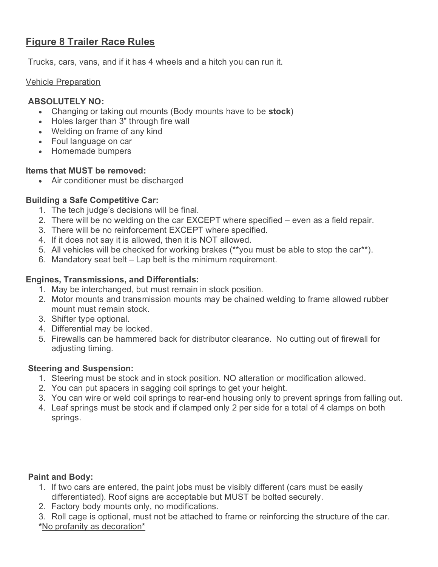# **Figure 8 Trailer Race Rules**

Trucks, cars, vans, and if it has 4 wheels and a hitch you can run it.

#### Vehicle Preparation

## **ABSOLUTELY NO:**

- Changing or taking out mounts (Body mounts have to be **stock**)
- Holes larger than 3" through fire wall
- Welding on frame of any kind
- Foul language on car
- Homemade bumpers

#### **Items that MUST be removed:**

• Air conditioner must be discharged

## **Building a Safe Competitive Car:**

- 1. The tech judge's decisions will be final.
- 2. There will be no welding on the car EXCEPT where specified even as a field repair.
- 3. There will be no reinforcement EXCEPT where specified.
- 4. If it does not say it is allowed, then it is NOT allowed.
- 5. All vehicles will be checked for working brakes (\*\*you must be able to stop the car\*\*).
- 6. Mandatory seat belt Lap belt is the minimum requirement.

# **Engines, Transmissions, and Differentials:**

- 1. May be interchanged, but must remain in stock position.
- 2. Motor mounts and transmission mounts may be chained welding to frame allowed rubber mount must remain stock.
- 3. Shifter type optional.
- 4. Differential may be locked.
- 5. Firewalls can be hammered back for distributor clearance. No cutting out of firewall for adjusting timing.

## **Steering and Suspension:**

- 1. Steering must be stock and in stock position. NO alteration or modification allowed.
- 2. You can put spacers in sagging coil springs to get your height.
- 3. You can wire or weld coil springs to rear-end housing only to prevent springs from falling out.
- 4. Leaf springs must be stock and if clamped only 2 per side for a total of 4 clamps on both springs.

## **Paint and Body:**

- 1. If two cars are entered, the paint jobs must be visibly different (cars must be easily differentiated). Roof signs are acceptable but MUST be bolted securely.
- 2. Factory body mounts only, no modifications.
- 3. Roll cage is optional, must not be attached to frame or reinforcing the structure of the car. **\***No profanity as decoration\*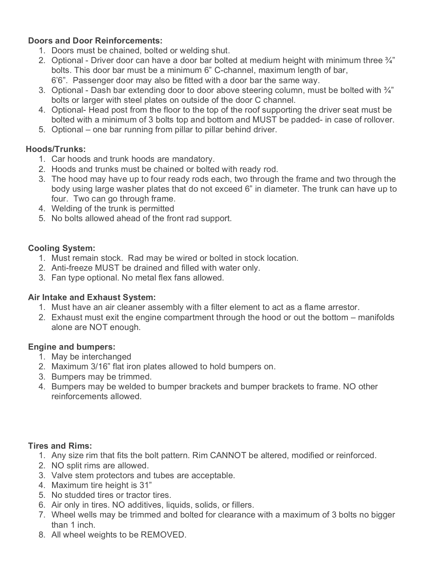## **Doors and Door Reinforcements:**

- 1. Doors must be chained, bolted or welding shut.
- 2. Optional Driver door can have a door bar bolted at medium height with minimum three  $\frac{3}{4}$ " bolts. This door bar must be a minimum 6" C-channel, maximum length of bar, 6'6". Passenger door may also be fitted with a door bar the same way.
- 3. Optional Dash bar extending door to door above steering column, must be bolted with  $\frac{3}{4}$ " bolts or larger with steel plates on outside of the door C channel.
- 4. Optional- Head post from the floor to the top of the roof supporting the driver seat must be bolted with a minimum of 3 bolts top and bottom and MUST be padded- in case of rollover.
- 5. Optional one bar running from pillar to pillar behind driver.

# **Hoods/Trunks:**

- 1. Car hoods and trunk hoods are mandatory.
- 2. Hoods and trunks must be chained or bolted with ready rod.
- 3. The hood may have up to four ready rods each, two through the frame and two through the body using large washer plates that do not exceed 6" in diameter. The trunk can have up to four. Two can go through frame.
- 4. Welding of the trunk is permitted
- 5. No bolts allowed ahead of the front rad support.

# **Cooling System:**

- 1. Must remain stock. Rad may be wired or bolted in stock location.
- 2. Anti-freeze MUST be drained and filled with water only.
- 3. Fan type optional. No metal flex fans allowed.

## **Air Intake and Exhaust System:**

- 1. Must have an air cleaner assembly with a filter element to act as a flame arrestor.
- 2. Exhaust must exit the engine compartment through the hood or out the bottom manifolds alone are NOT enough.

## **Engine and bumpers:**

- 1. May be interchanged
- 2. Maximum 3/16" flat iron plates allowed to hold bumpers on.
- 3. Bumpers may be trimmed.
- 4. Bumpers may be welded to bumper brackets and bumper brackets to frame. NO other reinforcements allowed.

## **Tires and Rims:**

- 1. Any size rim that fits the bolt pattern. Rim CANNOT be altered, modified or reinforced.
- 2. NO split rims are allowed.
- 3. Valve stem protectors and tubes are acceptable.
- 4. Maximum tire height is 31"
- 5. No studded tires or tractor tires.
- 6. Air only in tires. NO additives, liquids, solids, or fillers.
- 7. Wheel wells may be trimmed and bolted for clearance with a maximum of 3 bolts no bigger than 1 inch.
- 8. All wheel weights to be REMOVED.